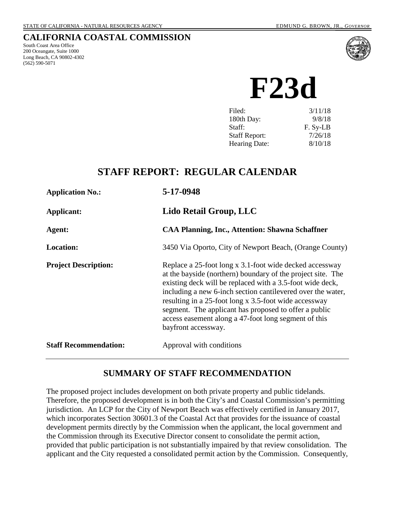## **CALIFORNIA COASTAL COMMISSION**

South Coast Area Office 200 Oceangate, Suite 1000 Long Beach, CA 90802-4302 (562) 590-5071



**F23d**

| 3/11/18  |
|----------|
| 9/8/18   |
| F. Sy-LB |
| 7/26/18  |
| 8/10/18  |
|          |

# **STAFF REPORT: REGULAR CALENDAR**

| <b>Application No.:</b>      | 5-17-0948                                                                                                                                                                                                                                                                                                                                                                                                                                           |  |
|------------------------------|-----------------------------------------------------------------------------------------------------------------------------------------------------------------------------------------------------------------------------------------------------------------------------------------------------------------------------------------------------------------------------------------------------------------------------------------------------|--|
| <b>Applicant:</b>            | Lido Retail Group, LLC                                                                                                                                                                                                                                                                                                                                                                                                                              |  |
| Agent:                       | <b>CAA Planning, Inc., Attention: Shawna Schaffner</b>                                                                                                                                                                                                                                                                                                                                                                                              |  |
| <b>Location:</b>             | 3450 Via Oporto, City of Newport Beach, (Orange County)                                                                                                                                                                                                                                                                                                                                                                                             |  |
| <b>Project Description:</b>  | Replace a 25-foot long x 3.1-foot wide decked accessway<br>at the bayside (northern) boundary of the project site. The<br>existing deck will be replaced with a 3.5-foot wide deck,<br>including a new 6-inch section cantilevered over the water,<br>resulting in a 25-foot long x 3.5-foot wide accessway<br>segment. The applicant has proposed to offer a public<br>access easement along a 47-foot long segment of this<br>bayfront accessway. |  |
| <b>Staff Recommendation:</b> | Approval with conditions                                                                                                                                                                                                                                                                                                                                                                                                                            |  |

## **SUMMARY OF STAFF RECOMMENDATION**

The proposed project includes development on both private property and public tidelands. Therefore, the proposed development is in both the City's and Coastal Commission's permitting jurisdiction. An LCP for the City of Newport Beach was effectively certified in January 2017, which incorporates Section 30601.3 of the Coastal Act that provides for the issuance of coastal development permits directly by the Commission when the applicant, the local government and the Commission through its Executive Director consent to consolidate the permit action, provided that public participation is not substantially impaired by that review consolidation. The applicant and the City requested a consolidated permit action by the Commission. Consequently,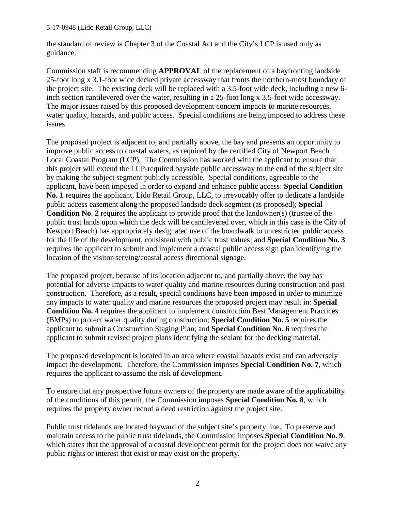the standard of review is Chapter 3 of the Coastal Act and the City's LCP is used only as guidance.

Commission staff is recommending **APPROVAL** of the replacement of a bayfronting landside 25-foot long x 3.1-foot wide decked private accessway that fronts the northern-most boundary of the project site. The existing deck will be replaced with a 3.5-foot wide deck, including a new 6 inch section cantilevered over the water, resulting in a 25-foot long x 3.5-foot wide accessway. The major issues raised by this proposed development concern impacts to marine resources, water quality, hazards, and public access. Special conditions are being imposed to address these issues.

The proposed project is adjacent to, and partially above, the bay and presents an opportunity to improve public access to coastal waters, as required by the certified City of Newport Beach Local Coastal Program (LCP). The Commission has worked with the applicant to ensure that this project will extend the LCP-required bayside public accessway to the end of the subject site by making the subject segment publicly accessible. Special conditions, agreeable to the applicant, have been imposed in order to expand and enhance public access: **Special Condition No. 1** requires the applicant, Lido Retail Group, LLC, to irrevocably offer to dedicate a landside public access easement along the proposed landside deck segment (as proposed); **Special Condition No**. **2** requires the applicant to provide proof that the landowner(s) (trustee of the public trust lands upon which the deck will be cantilevered over, which in this case is the City of Newport Beach) has appropriately designated use of the boardwalk to unrestricted public access for the life of the development, consistent with public trust values; and **Special Condition No. 3** requires the applicant to submit and implement a coastal public access sign plan identifying the location of the visitor-serving/coastal access directional signage.

The proposed project, because of its location adjacent to, and partially above, the bay has potential for adverse impacts to water quality and marine resources during construction and post construction. Therefore, as a result, special conditions have been imposed in order to minimize any impacts to water quality and marine resources the proposed project may result in: **Special Condition No. 4** requires the applicant to implement construction Best Management Practices (BMPs) to protect water quality during construction; **Special Condition No. 5** requires the applicant to submit a Construction Staging Plan; and **Special Condition No. 6** requires the applicant to submit revised project plans identifying the sealant for the decking material.

The proposed development is located in an area where coastal hazards exist and can adversely impact the development. Therefore, the Commission imposes **Special Condition No. 7**, which requires the applicant to assume the risk of development.

To ensure that any prospective future owners of the property are made aware of the applicability of the conditions of this permit, the Commission imposes **Special Condition No. 8**, which requires the property owner record a deed restriction against the project site.

Public trust tidelands are located bayward of the subject site's property line. To preserve and maintain access to the public trust tidelands, the Commission imposes **Special Condition No. 9**, which states that the approval of a coastal development permit for the project does not waive any public rights or interest that exist or may exist on the property.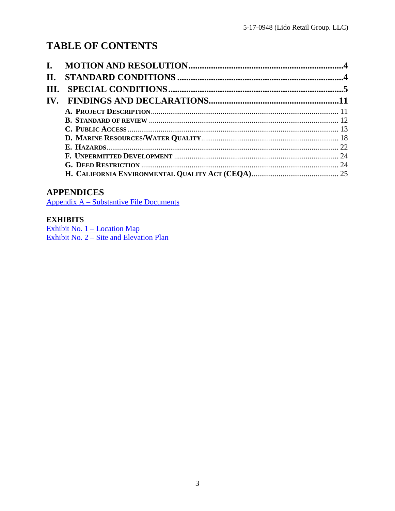# **TABLE OF CONTENTS**

| II.  |  |
|------|--|
| III. |  |
|      |  |
|      |  |
|      |  |
|      |  |
|      |  |
|      |  |
|      |  |
|      |  |
|      |  |

## **APPENDICES**

Appendix A - Substantive File Documents

## **EXHIBITS**

Exhibit No.  $1 -$ Location Map<br>Exhibit No.  $2 -$  Site and Elevation Plan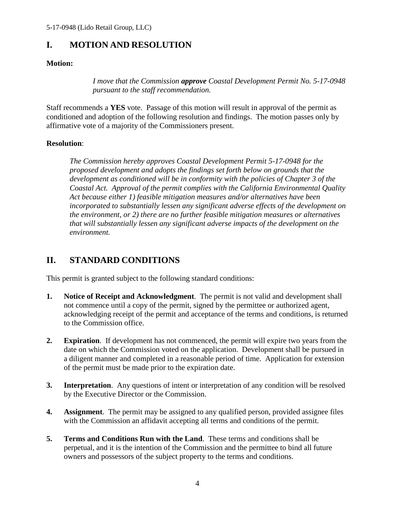## <span id="page-3-0"></span>**I. MOTION AND RESOLUTION**

### **Motion:**

*I move that the Commission approve Coastal Development Permit No. 5-17-0948 pursuant to the staff recommendation.* 

Staff recommends a **YES** vote. Passage of this motion will result in approval of the permit as conditioned and adoption of the following resolution and findings. The motion passes only by affirmative vote of a majority of the Commissioners present.

### **Resolution**:

*The Commission hereby approves Coastal Development Permit 5-17-0948 for the proposed development and adopts the findings set forth below on grounds that the development as conditioned will be in conformity with the policies of Chapter 3 of the Coastal Act. Approval of the permit complies with the California Environmental Quality Act because either 1) feasible mitigation measures and/or alternatives have been incorporated to substantially lessen any significant adverse effects of the development on the environment, or 2) there are no further feasible mitigation measures or alternatives that will substantially lessen any significant adverse impacts of the development on the environment.* 

## <span id="page-3-1"></span>**II. STANDARD CONDITIONS**

This permit is granted subject to the following standard conditions:

- **1. Notice of Receipt and Acknowledgment**. The permit is not valid and development shall not commence until a copy of the permit, signed by the permittee or authorized agent, acknowledging receipt of the permit and acceptance of the terms and conditions, is returned to the Commission office.
- **2. Expiration**. If development has not commenced, the permit will expire two years from the date on which the Commission voted on the application. Development shall be pursued in a diligent manner and completed in a reasonable period of time. Application for extension of the permit must be made prior to the expiration date.
- **3.** Interpretation. Any questions of intent or interpretation of any condition will be resolved by the Executive Director or the Commission.
- **4. Assignment**. The permit may be assigned to any qualified person, provided assignee files with the Commission an affidavit accepting all terms and conditions of the permit.
- **5. Terms and Conditions Run with the Land**. These terms and conditions shall be perpetual, and it is the intention of the Commission and the permittee to bind all future owners and possessors of the subject property to the terms and conditions.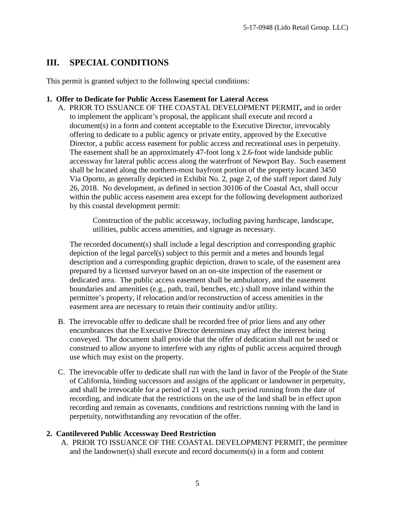# <span id="page-4-0"></span>**III. SPECIAL CONDITIONS**

This permit is granted subject to the following special conditions:

#### **1. Offer to Dedicate for Public Access Easement for Lateral Access**

A. PRIOR TO ISSUANCE OF THE COASTAL DEVELOPMENT PERMIT**,** and in order to implement the applicant's proposal, the applicant shall execute and record a document(s) in a form and content acceptable to the Executive Director, irrevocably offering to dedicate to a public agency or private entity, approved by the Executive Director, a public access easement for public access and recreational uses in perpetuity. The easement shall be an approximately 47-foot long x 2.6-foot wide landside public accessway for lateral public access along the waterfront of Newport Bay. Such easement shall be located along the northern-most bayfront portion of the property located 3450 Via Oporto, as generally depicted in Exhibit No. 2, page 2, of the staff report dated July 26, 2018. No development, as defined in section 30106 of the Coastal Act, shall occur within the public access easement area except for the following development authorized by this coastal development permit:

> Construction of the public accessway, including paving hardscape, landscape, utilities, public access amenities, and signage as necessary.

The recorded document(s) shall include a legal description and corresponding graphic depiction of the legal parcel(s) subject to this permit and a metes and bounds legal description and a corresponding graphic depiction, drawn to scale, of the easement area prepared by a licensed surveyor based on an on-site inspection of the easement or dedicated area. The public access easement shall be ambulatory, and the easement boundaries and amenities (e.g., path, trail, benches, etc.) shall move inland within the permittee's property, if relocation and/or reconstruction of access amenities in the easement area are necessary to retain their continuity and/or utility.

- B. The irrevocable offer to dedicate shall be recorded free of prior liens and any other encumbrances that the Executive Director determines may affect the interest being conveyed. The document shall provide that the offer of dedication shall not be used or construed to allow anyone to interfere with any rights of public access acquired through use which may exist on the property.
- C. The irrevocable offer to dedicate shall run with the land in favor of the People of the State of California, binding successors and assigns of the applicant or landowner in perpetuity, and shall be irrevocable for a period of 21 years, such period running from the date of recording, and indicate that the restrictions on the use of the land shall be in effect upon recording and remain as covenants, conditions and restrictions running with the land in perpetuity, notwithstanding any revocation of the offer.

## **2. Cantilevered Public Accessway Deed Restriction**

A. PRIOR TO ISSUANCE OF THE COASTAL DEVELOPMENT PERMIT, the permittee and the landowner(s) shall execute and record documents(s) in a form and content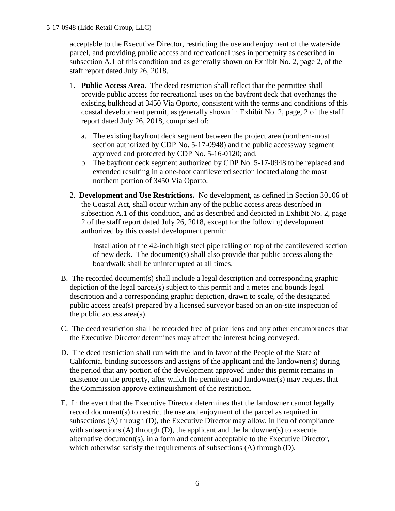acceptable to the Executive Director, restricting the use and enjoyment of the waterside parcel, and providing public access and recreational uses in perpetuity as described in subsection A.1 of this condition and as generally shown on Exhibit No. 2, page 2, of the staff report dated July 26, 2018.

- 1. **Public Access Area.** The deed restriction shall reflect that the permittee shall provide public access for recreational uses on the bayfront deck that overhangs the existing bulkhead at 3450 Via Oporto, consistent with the terms and conditions of this coastal development permit, as generally shown in Exhibit No. 2, page, 2 of the staff report dated July 26, 2018, comprised of:
	- a. The existing bayfront deck segment between the project area (northern-most section authorized by CDP No. 5-17-0948) and the public accessway segment approved and protected by CDP No. 5-16-0120; and.
	- b. The bayfront deck segment authorized by CDP No. 5-17-0948 to be replaced and extended resulting in a one-foot cantilevered section located along the most northern portion of 3450 Via Oporto.
- 2. **Development and Use Restrictions.** No development, as defined in Section 30106 of the Coastal Act, shall occur within any of the public access areas described in subsection A.1 of this condition, and as described and depicted in Exhibit No. 2, page 2 of the staff report dated July 26, 2018, except for the following development authorized by this coastal development permit:

 Installation of the 42-inch high steel pipe railing on top of the cantilevered section of new deck. The document(s) shall also provide that public access along the boardwalk shall be uninterrupted at all times.

- B. The recorded document(s) shall include a legal description and corresponding graphic depiction of the legal parcel(s) subject to this permit and a metes and bounds legal description and a corresponding graphic depiction, drawn to scale, of the designated public access area(s) prepared by a licensed surveyor based on an on-site inspection of the public access area(s).
- C. The deed restriction shall be recorded free of prior liens and any other encumbrances that the Executive Director determines may affect the interest being conveyed.
- D. The deed restriction shall run with the land in favor of the People of the State of California, binding successors and assigns of the applicant and the landowner(s) during the period that any portion of the development approved under this permit remains in existence on the property, after which the permittee and landowner(s) may request that the Commission approve extinguishment of the restriction.
- E. In the event that the Executive Director determines that the landowner cannot legally record document(s) to restrict the use and enjoyment of the parcel as required in subsections (A) through (D), the Executive Director may allow, in lieu of compliance with subsections (A) through (D), the applicant and the landowner(s) to execute alternative document(s), in a form and content acceptable to the Executive Director, which otherwise satisfy the requirements of subsections (A) through (D).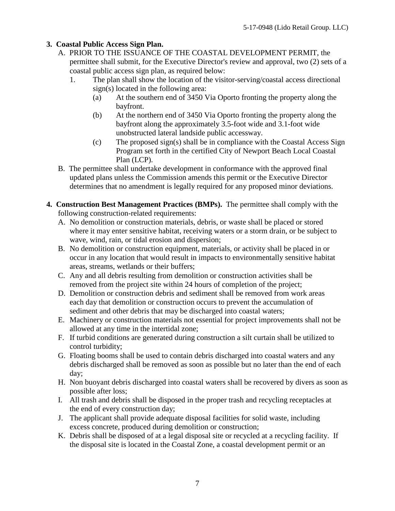### **3. Coastal Public Access Sign Plan.**

- A. PRIOR TO THE ISSUANCE OF THE COASTAL DEVELOPMENT PERMIT, the permittee shall submit, for the Executive Director's review and approval, two (2) sets of a coastal public access sign plan, as required below:
	- 1. The plan shall show the location of the visitor-serving/coastal access directional sign(s) located in the following area:
		- (a) At the southern end of 3450 Via Oporto fronting the property along the bayfront.
		- (b) At the northern end of 3450 Via Oporto fronting the property along the bayfront along the approximately 3.5-foot wide and 3.1-foot wide unobstructed lateral landside public accessway.
		- (c) The proposed sign(s) shall be in compliance with the Coastal Access Sign Program set forth in the certified City of Newport Beach Local Coastal Plan (LCP).
- B. The permittee shall undertake development in conformance with the approved final updated plans unless the Commission amends this permit or the Executive Director determines that no amendment is legally required for any proposed minor deviations.
- **4. Construction Best Management Practices (BMPs).** The permittee shall comply with the following construction-related requirements:
	- A. No demolition or construction materials, debris, or waste shall be placed or stored where it may enter sensitive habitat, receiving waters or a storm drain, or be subject to wave, wind, rain, or tidal erosion and dispersion;
	- B. No demolition or construction equipment, materials, or activity shall be placed in or occur in any location that would result in impacts to environmentally sensitive habitat areas, streams, wetlands or their buffers;
	- C. Any and all debris resulting from demolition or construction activities shall be removed from the project site within 24 hours of completion of the project;
	- D. Demolition or construction debris and sediment shall be removed from work areas each day that demolition or construction occurs to prevent the accumulation of sediment and other debris that may be discharged into coastal waters;
	- E. Machinery or construction materials not essential for project improvements shall not be allowed at any time in the intertidal zone;
	- F. If turbid conditions are generated during construction a silt curtain shall be utilized to control turbidity;
	- G. Floating booms shall be used to contain debris discharged into coastal waters and any debris discharged shall be removed as soon as possible but no later than the end of each day;
	- H. Non buoyant debris discharged into coastal waters shall be recovered by divers as soon as possible after loss;
	- I. All trash and debris shall be disposed in the proper trash and recycling receptacles at the end of every construction day;
	- J. The applicant shall provide adequate disposal facilities for solid waste, including excess concrete, produced during demolition or construction;
	- K. Debris shall be disposed of at a legal disposal site or recycled at a recycling facility. If the disposal site is located in the Coastal Zone, a coastal development permit or an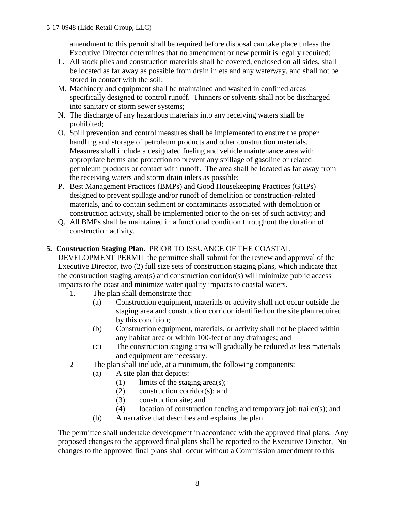amendment to this permit shall be required before disposal can take place unless the Executive Director determines that no amendment or new permit is legally required;

- L. All stock piles and construction materials shall be covered, enclosed on all sides, shall be located as far away as possible from drain inlets and any waterway, and shall not be stored in contact with the soil;
- M. Machinery and equipment shall be maintained and washed in confined areas specifically designed to control runoff. Thinners or solvents shall not be discharged into sanitary or storm sewer systems;
- N. The discharge of any hazardous materials into any receiving waters shall be prohibited;
- O. Spill prevention and control measures shall be implemented to ensure the proper handling and storage of petroleum products and other construction materials. Measures shall include a designated fueling and vehicle maintenance area with appropriate berms and protection to prevent any spillage of gasoline or related petroleum products or contact with runoff. The area shall be located as far away from the receiving waters and storm drain inlets as possible;
- P. Best Management Practices (BMPs) and Good Housekeeping Practices (GHPs) designed to prevent spillage and/or runoff of demolition or construction-related materials, and to contain sediment or contaminants associated with demolition or construction activity, shall be implemented prior to the on-set of such activity; and
- Q. All BMPs shall be maintained in a functional condition throughout the duration of construction activity.

### **5. Construction Staging Plan.** PRIOR TO ISSUANCE OF THE COASTAL

DEVELOPMENT PERMIT the permittee shall submit for the review and approval of the Executive Director, two (2) full size sets of construction staging plans, which indicate that the construction staging area(s) and construction corridor(s) will minimize public access impacts to the coast and minimize water quality impacts to coastal waters.

- 1. The plan shall demonstrate that:
	- (a) Construction equipment, materials or activity shall not occur outside the staging area and construction corridor identified on the site plan required by this condition;
	- (b) Construction equipment, materials, or activity shall not be placed within any habitat area or within 100-feet of any drainages; and
	- (c) The construction staging area will gradually be reduced as less materials and equipment are necessary.
- 2 The plan shall include, at a minimum, the following components:
	- (a) A site plan that depicts:
		- $(1)$  limits of the staging area(s);
		- (2) construction corridor(s); and
		- (3) construction site; and
		- (4) location of construction fencing and temporary job trailer(s); and
	- (b) A narrative that describes and explains the plan

The permittee shall undertake development in accordance with the approved final plans. Any proposed changes to the approved final plans shall be reported to the Executive Director. No changes to the approved final plans shall occur without a Commission amendment to this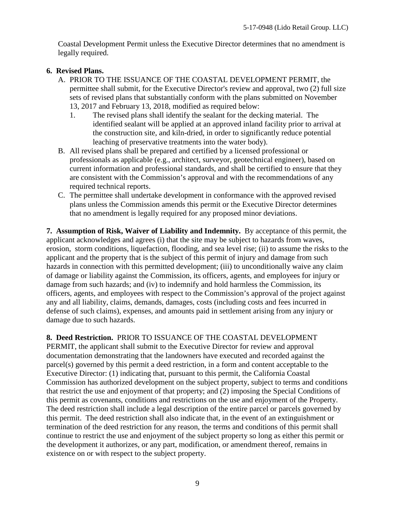Coastal Development Permit unless the Executive Director determines that no amendment is legally required.

### **6. Revised Plans.**

- A. PRIOR TO THE ISSUANCE OF THE COASTAL DEVELOPMENT PERMIT, the permittee shall submit, for the Executive Director's review and approval, two (2) full size sets of revised plans that substantially conform with the plans submitted on November 13, 2017 and February 13, 2018, modified as required below:
	- 1. The revised plans shall identify the sealant for the decking material. The identified sealant will be applied at an approved inland facility prior to arrival at the construction site, and kiln-dried, in order to significantly reduce potential leaching of preservative treatments into the water body).
- B. All revised plans shall be prepared and certified by a licensed professional or professionals as applicable (e.g., architect, surveyor, geotechnical engineer), based on current information and professional standards, and shall be certified to ensure that they are consistent with the Commission's approval and with the recommendations of any required technical reports.
- C. The permittee shall undertake development in conformance with the approved revised plans unless the Commission amends this permit or the Executive Director determines that no amendment is legally required for any proposed minor deviations.

**7. Assumption of Risk, Waiver of Liability and Indemnity.** By acceptance of this permit, the applicant acknowledges and agrees (i) that the site may be subject to hazards from waves, erosion, storm conditions, liquefaction, flooding, and sea level rise; (ii) to assume the risks to the applicant and the property that is the subject of this permit of injury and damage from such hazards in connection with this permitted development; (iii) to unconditionally waive any claim of damage or liability against the Commission, its officers, agents, and employees for injury or damage from such hazards; and (iv) to indemnify and hold harmless the Commission, its officers, agents, and employees with respect to the Commission's approval of the project against any and all liability, claims, demands, damages, costs (including costs and fees incurred in defense of such claims), expenses, and amounts paid in settlement arising from any injury or damage due to such hazards.

**8. Deed Restriction.** PRIOR TO ISSUANCE OF THE COASTAL DEVELOPMENT PERMIT, the applicant shall submit to the Executive Director for review and approval documentation demonstrating that the landowners have executed and recorded against the parcel(s) governed by this permit a deed restriction, in a form and content acceptable to the Executive Director: (1) indicating that, pursuant to this permit, the California Coastal Commission has authorized development on the subject property, subject to terms and conditions that restrict the use and enjoyment of that property; and (2) imposing the Special Conditions of this permit as covenants, conditions and restrictions on the use and enjoyment of the Property. The deed restriction shall include a legal description of the entire parcel or parcels governed by this permit. The deed restriction shall also indicate that, in the event of an extinguishment or termination of the deed restriction for any reason, the terms and conditions of this permit shall continue to restrict the use and enjoyment of the subject property so long as either this permit or the development it authorizes, or any part, modification, or amendment thereof, remains in existence on or with respect to the subject property.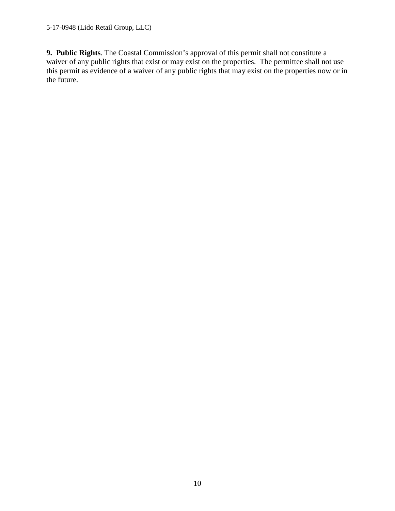**9. Public Rights**. The Coastal Commission's approval of this permit shall not constitute a waiver of any public rights that exist or may exist on the properties. The permittee shall not use this permit as evidence of a waiver of any public rights that may exist on the properties now or in the future.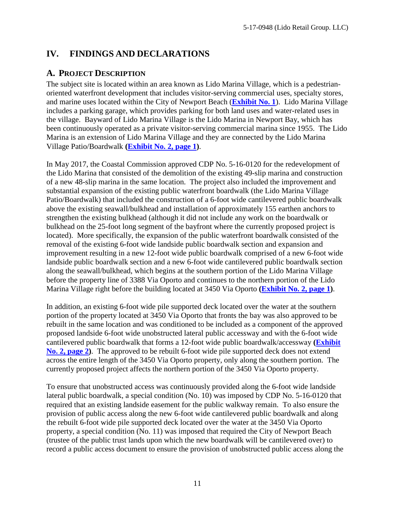# <span id="page-10-0"></span>**IV. FINDINGS AND DECLARATIONS**

## <span id="page-10-1"></span>**A. PROJECT DESCRIPTION**

The subject site is located within an area known as Lido Marina Village, which is a pedestrianoriented waterfront development that includes visitor-serving commercial uses, specialty stores, and marine uses located within the City of Newport Beach (**[Exhibit No. 1](https://documents.coastal.ca.gov/reports/2018/8/F23d/F23d-8-2018-exhibits.pdf)**). Lido Marina Village includes a parking garage, which provides parking for both land uses and water-related uses in the village. Bayward of Lido Marina Village is the Lido Marina in Newport Bay, which has been continuously operated as a private visitor-serving commercial marina since 1955. The Lido Marina is an extension of Lido Marina Village and they are connected by the Lido Marina Village Patio/Boardwalk **[\(Exhibit No. 2, page 1\)](https://documents.coastal.ca.gov/reports/2018/8/F23d/F23d-8-2018-exhibits.pdf)**.

In May 2017, the Coastal Commission approved CDP No. 5-16-0120 for the redevelopment of the Lido Marina that consisted of the demolition of the existing 49-slip marina and construction of a new 48-slip marina in the same location. The project also included the improvement and substantial expansion of the existing public waterfront boardwalk (the Lido Marina Village Patio/Boardwalk) that included the construction of a 6-foot wide cantilevered public boardwalk above the existing seawall/bulkhead and installation of approximately 155 earthen anchors to strengthen the existing bulkhead (although it did not include any work on the boardwalk or bulkhead on the 25-foot long segment of the bayfront where the currently proposed project is located). More specifically, the expansion of the public waterfront boardwalk consisted of the removal of the existing 6-foot wide landside public boardwalk section and expansion and improvement resulting in a new 12-foot wide public boardwalk comprised of a new 6-foot wide landside public boardwalk section and a new 6-foot wide cantilevered public boardwalk section along the seawall/bulkhead, which begins at the southern portion of the Lido Marina Village before the property line of 3388 Via Oporto and continues to the northern portion of the Lido Marina Village right before the building located at 3450 Via Oporto **[\(Exhibit No. 2, page 1\)](https://documents.coastal.ca.gov/reports/2018/8/F23d/F23d-8-2018-exhibits.pdf)**.

In addition, an existing 6-foot wide pile supported deck located over the water at the southern portion of the property located at 3450 Via Oporto that fronts the bay was also approved to be rebuilt in the same location and was conditioned to be included as a component of the approved proposed landside 6-foot wide unobstructed lateral public accessway and with the 6-foot wide cantilevered public boardwalk that forms a 12-foot wide public boardwalk/accessway **[\(Exhibit](https://documents.coastal.ca.gov/reports/2018/8/F23d/F23d-8-2018-exhibits.pdf)  [No. 2, page 2\)](https://documents.coastal.ca.gov/reports/2018/8/F23d/F23d-8-2018-exhibits.pdf)**. The approved to be rebuilt 6-foot wide pile supported deck does not extend across the entire length of the 3450 Via Oporto property, only along the southern portion. The currently proposed project affects the northern portion of the 3450 Via Oporto property.

To ensure that unobstructed access was continuously provided along the 6-foot wide landside lateral public boardwalk, a special condition (No. 10) was imposed by CDP No. 5-16-0120 that required that an existing landside easement for the public walkway remain. To also ensure the provision of public access along the new 6-foot wide cantilevered public boardwalk and along the rebuilt 6-foot wide pile supported deck located over the water at the 3450 Via Oporto property, a special condition (No. 11) was imposed that required the City of Newport Beach (trustee of the public trust lands upon which the new boardwalk will be cantilevered over) to record a public access document to ensure the provision of unobstructed public access along the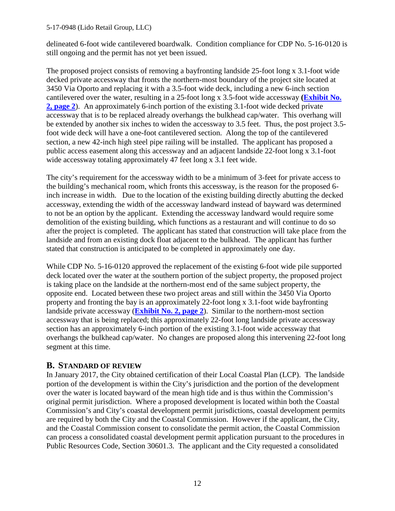delineated 6-foot wide cantilevered boardwalk. Condition compliance for CDP No. 5-16-0120 is still ongoing and the permit has not yet been issued.

The proposed project consists of removing a bayfronting landside 25-foot long x 3.1-foot wide decked private accessway that fronts the northern-most boundary of the project site located at 3450 Via Oporto and replacing it with a 3.5-foot wide deck, including a new 6-inch section cantilevered over the water, resulting in a 25-foot long x 3.5-foot wide accessway **[\(Exhibit No.](https://documents.coastal.ca.gov/reports/2018/8/F23d/F23d-8-2018-exhibits.pdf)  [2, page 2](https://documents.coastal.ca.gov/reports/2018/8/F23d/F23d-8-2018-exhibits.pdf)**). An approximately 6-inch portion of the existing 3.1-foot wide decked private accessway that is to be replaced already overhangs the bulkhead cap/water. This overhang will be extended by another six inches to widen the accessway to 3.5 feet. Thus, the post project 3.5 foot wide deck will have a one-foot cantilevered section. Along the top of the cantilevered section, a new 42-inch high steel pipe railing will be installed. The applicant has proposed a public access easement along this accessway and an adjacent landside 22-foot long x 3.1-foot wide accessway totaling approximately 47 feet long x 3.1 feet wide.

The city's requirement for the accessway width to be a minimum of 3-feet for private access to the building's mechanical room, which fronts this accessway, is the reason for the proposed 6 inch increase in width. Due to the location of the existing building directly abutting the decked accessway, extending the width of the accessway landward instead of bayward was determined to not be an option by the applicant. Extending the accessway landward would require some demolition of the existing building, which functions as a restaurant and will continue to do so after the project is completed. The applicant has stated that construction will take place from the landside and from an existing dock float adjacent to the bulkhead. The applicant has further stated that construction is anticipated to be completed in approximately one day.

While CDP No. 5-16-0120 approved the replacement of the existing 6-foot wide pile supported deck located over the water at the southern portion of the subject property, the proposed project is taking place on the landside at the northern-most end of the same subject property, the opposite end. Located between these two project areas and still within the 3450 Via Oporto property and fronting the bay is an approximately 22-foot long x 3.1-foot wide bayfronting landside private accessway (**[Exhibit No. 2, page 2](https://documents.coastal.ca.gov/reports/2018/8/F23d/F23d-8-2018-exhibits.pdf)**). Similar to the northern-most section accessway that is being replaced; this approximately 22-foot long landside private accessway section has an approximately 6-inch portion of the existing 3.1-foot wide accessway that overhangs the bulkhead cap/water. No changes are proposed along this intervening 22-foot long segment at this time.

## <span id="page-11-0"></span>**B. STANDARD OF REVIEW**

In January 2017, the City obtained certification of their Local Coastal Plan (LCP). The landside portion of the development is within the City's jurisdiction and the portion of the development over the water is located bayward of the mean high tide and is thus within the Commission's original permit jurisdiction. Where a proposed development is located within both the Coastal Commission's and City's coastal development permit jurisdictions, coastal development permits are required by both the City and the Coastal Commission. However if the applicant, the City, and the Coastal Commission consent to consolidate the permit action, the Coastal Commission can process a consolidated coastal development permit application pursuant to the procedures in Public Resources Code, Section 30601.3. The applicant and the City requested a consolidated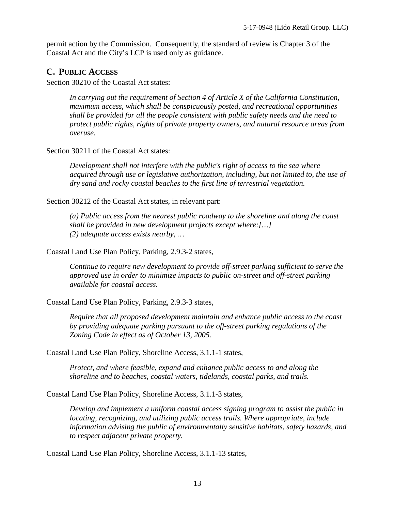permit action by the Commission. Consequently, the standard of review is Chapter 3 of the Coastal Act and the City's LCP is used only as guidance.

## <span id="page-12-0"></span>**C. PUBLIC ACCESS**

Section 30210 of the Coastal Act states:

*In carrying out the requirement of Section 4 of Article X of the California Constitution, maximum access, which shall be conspicuously posted, and recreational opportunities shall be provided for all the people consistent with public safety needs and the need to protect public rights, rights of private property owners, and natural resource areas from overuse*.

Section 30211 of the Coastal Act states:

*Development shall not interfere with the public's right of access to the sea where acquired through use or legislative authorization, including, but not limited to, the use of dry sand and rocky coastal beaches to the first line of terrestrial vegetation.*

Section 30212 of the Coastal Act states, in relevant part:

*(a) Public access from the nearest public roadway to the shoreline and along the coast shall be provided in new development projects except where:[…] (2) adequate access exists nearby, …*

Coastal Land Use Plan Policy, Parking, 2.9.3-2 states,

*Continue to require new development to provide off-street parking sufficient to serve the approved use in order to minimize impacts to public on-street and off-street parking available for coastal access.* 

Coastal Land Use Plan Policy, Parking, 2.9.3-3 states,

*Require that all proposed development maintain and enhance public access to the coast by providing adequate parking pursuant to the off-street parking regulations of the Zoning Code in effect as of October 13, 2005.*

Coastal Land Use Plan Policy, Shoreline Access, 3.1.1-1 states,

*Protect, and where feasible, expand and enhance public access to and along the shoreline and to beaches, coastal waters, tidelands, coastal parks, and trails.* 

Coastal Land Use Plan Policy, Shoreline Access, 3.1.1-3 states,

*Develop and implement a uniform coastal access signing program to assist the public in locating, recognizing, and utilizing public access trails. Where appropriate, include information advising the public of environmentally sensitive habitats, safety hazards, and to respect adjacent private property.*

Coastal Land Use Plan Policy, Shoreline Access, 3.1.1-13 states,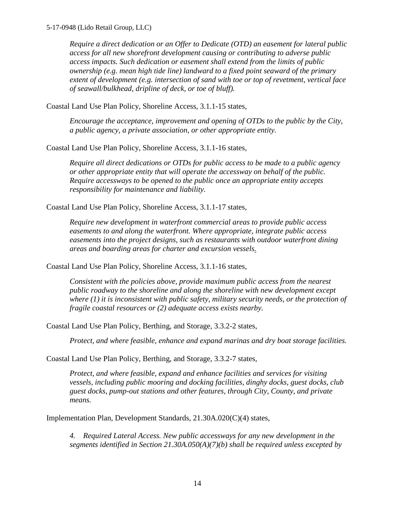*Require a direct dedication or an Offer to Dedicate (OTD) an easement for lateral public access for all new shorefront development causing or contributing to adverse public access impacts. Such dedication or easement shall extend from the limits of public ownership (e.g. mean high tide line) landward to a fixed point seaward of the primary extent of development (e.g. intersection of sand with toe or top of revetment, vertical face of seawall/bulkhead, dripline of deck, or toe of bluff).* 

Coastal Land Use Plan Policy, Shoreline Access, 3.1.1-15 states,

*Encourage the acceptance, improvement and opening of OTDs to the public by the City, a public agency, a private association, or other appropriate entity.* 

Coastal Land Use Plan Policy, Shoreline Access, 3.1.1-16 states,

*Require all direct dedications or OTDs for public access to be made to a public agency or other appropriate entity that will operate the accessway on behalf of the public. Require accessways to be opened to the public once an appropriate entity accepts responsibility for maintenance and liability.* 

Coastal Land Use Plan Policy, Shoreline Access, 3.1.1-17 states,

*Require new development in waterfront commercial areas to provide public access easements to and along the waterfront. Where appropriate, integrate public access easements into the project designs, such as restaurants with outdoor waterfront dining areas and boarding areas for charter and excursion vessels.*

Coastal Land Use Plan Policy, Shoreline Access, 3.1.1-16 states,

*Consistent with the policies above, provide maximum public access from the nearest public roadway to the shoreline and along the shoreline with new development except where (1) it is inconsistent with public safety, military security needs, or the protection of fragile coastal resources or (2) adequate access exists nearby.* 

Coastal Land Use Plan Policy, Berthing, and Storage, 3.3.2-2 states,

*Protect, and where feasible, enhance and expand marinas and dry boat storage facilities.* 

Coastal Land Use Plan Policy, Berthing, and Storage, 3.3.2-7 states,

*Protect, and where feasible, expand and enhance facilities and services for visiting vessels, including public mooring and docking facilities, dinghy docks, guest docks, club guest docks, pump-out stations and other features, through City, County, and private means.* 

Implementation Plan, Development Standards, 21.30A.020(C)(4) states,

*4. Required Lateral Access. New public accessways for any new development in the segments identified in Section 21.30A.050(A)(7)(b) shall be required unless excepted by*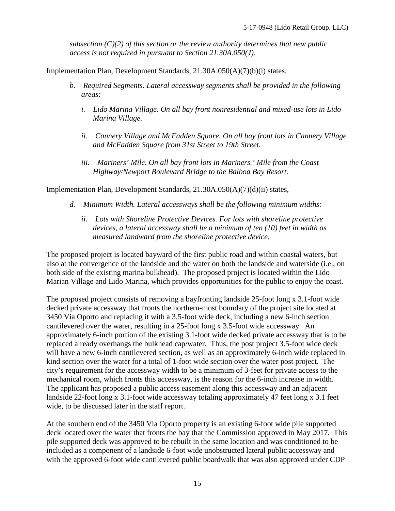*subsection (C)(2) of this section or the review authority determines that new public access is not required in pursuant to Section 21.30A.050(J).* 

Implementation Plan, Development Standards, 21.30A.050(A)(7)(b)(i) states,

- *b. Required Segments. Lateral accessway segments shall be provided in the following areas:* 
	- *i. Lido Marina Village. On all bay front nonresidential and mixed-use lots in Lido Marina Village.*
	- *ii. Cannery Village and McFadden Square. On all bay front lots in Cannery Village and McFadden Square from 31st Street to 19th Street.*
	- *iii. Mariners' Mile. On all bay front lots in Mariners.' Mile from the Coast Highway/Newport Boulevard Bridge to the Balboa Bay Resort.*

Implementation Plan, Development Standards, 21.30A.050(A)(7)(d)(ii) states,

- *d. Minimum Width. Lateral accessways shall be the following minimum widths:* 
	- *ii. Lots with Shoreline Protective Devices. For lots with shoreline protective devices, a lateral accessway shall be a minimum of ten (10) feet in width as measured landward from the shoreline protective device.*

The proposed project is located bayward of the first public road and within coastal waters, but also at the convergence of the landside and the water on both the landside and waterside (i.e., on both side of the existing marina bulkhead). The proposed project is located within the Lido Marian Village and Lido Marina, which provides opportunities for the public to enjoy the coast.

The proposed project consists of removing a bayfronting landside 25-foot long x 3.1-foot wide decked private accessway that fronts the northern-most boundary of the project site located at 3450 Via Oporto and replacing it with a 3.5-foot wide deck, including a new 6-inch section cantilevered over the water, resulting in a 25-foot long x 3.5-foot wide accessway. An approximately 6-inch portion of the existing 3.1-foot wide decked private accessway that is to be replaced already overhangs the bulkhead cap/water. Thus, the post project 3.5-foot wide deck will have a new 6-inch cantilevered section, as well as an approximately 6-inch wide replaced in kind section over the water for a total of 1-foot wide section over the water post project. The city's requirement for the accessway width to be a minimum of 3-feet for private access to the mechanical room, which fronts this accessway, is the reason for the 6-inch increase in width. The applicant has proposed a public access easement along this accessway and an adjacent landside 22-foot long x 3.1-foot wide accessway totaling approximately 47 feet long x 3.1 feet wide, to be discussed later in the staff report.

At the southern end of the 3450 Via Oporto property is an existing 6-foot wide pile supported deck located over the water that fronts the bay that the Commission approved in May 2017. This pile supported deck was approved to be rebuilt in the same location and was conditioned to be included as a component of a landside 6-foot wide unobstructed lateral public accessway and with the approved 6-foot wide cantilevered public boardwalk that was also approved under CDP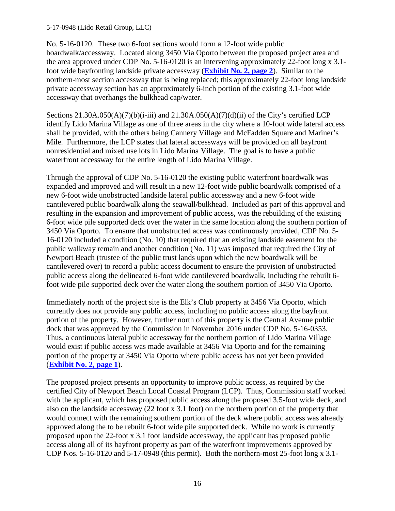No. 5-16-0120. These two 6-foot sections would form a 12-foot wide public boardwalk/accessway. Located along 3450 Via Oporto between the proposed project area and the area approved under CDP No. 5-16-0120 is an intervening approximately 22-foot long x 3.1 foot wide bayfronting landside private accessway (**[Exhibit No. 2, page 2](https://documents.coastal.ca.gov/reports/2018/8/F23d/F23d-8-2018-exhibits.pdf)**). Similar to the northern-most section accessway that is being replaced; this approximately 22-foot long landside private accessway section has an approximately 6-inch portion of the existing 3.1-foot wide accessway that overhangs the bulkhead cap/water.

Sections  $21.30A.050(A)(7)(b)(i-iii)$  and  $21.30A.050(A)(7)(d)(ii)$  of the City's certified LCP identify Lido Marina Village as one of three areas in the city where a 10-foot wide lateral access shall be provided, with the others being Cannery Village and McFadden Square and Mariner's Mile. Furthermore, the LCP states that lateral accessways will be provided on all bayfront nonresidential and mixed use lots in Lido Marina Village. The goal is to have a public waterfront accessway for the entire length of Lido Marina Village.

Through the approval of CDP No. 5-16-0120 the existing public waterfront boardwalk was expanded and improved and will result in a new 12-foot wide public boardwalk comprised of a new 6-foot wide unobstructed landside lateral public accessway and a new 6-foot wide cantilevered public boardwalk along the seawall/bulkhead. Included as part of this approval and resulting in the expansion and improvement of public access, was the rebuilding of the existing 6-foot wide pile supported deck over the water in the same location along the southern portion of 3450 Via Oporto. To ensure that unobstructed access was continuously provided, CDP No. 5- 16-0120 included a condition (No. 10) that required that an existing landside easement for the public walkway remain and another condition (No. 11) was imposed that required the City of Newport Beach (trustee of the public trust lands upon which the new boardwalk will be cantilevered over) to record a public access document to ensure the provision of unobstructed public access along the delineated 6-foot wide cantilevered boardwalk, including the rebuilt 6 foot wide pile supported deck over the water along the southern portion of 3450 Via Oporto.

Immediately north of the project site is the Elk's Club property at 3456 Via Oporto, which currently does not provide any public access, including no public access along the bayfront portion of the property. However, further north of this property is the Central Avenue public dock that was approved by the Commission in November 2016 under CDP No. 5-16-0353. Thus, a continuous lateral public accessway for the northern portion of Lido Marina Village would exist if public access was made available at 3456 Via Oporto and for the remaining portion of the property at 3450 Via Oporto where public access has not yet been provided (**[Exhibit No. 2, page 1](https://documents.coastal.ca.gov/reports/2018/8/F23d/F23d-8-2018-exhibits.pdf)**).

The proposed project presents an opportunity to improve public access, as required by the certified City of Newport Beach Local Coastal Program (LCP). Thus, Commission staff worked with the applicant, which has proposed public access along the proposed 3.5-foot wide deck, and also on the landside accessway (22 foot x 3.1 foot) on the northern portion of the property that would connect with the remaining southern portion of the deck where public access was already approved along the to be rebuilt 6-foot wide pile supported deck. While no work is currently proposed upon the 22-foot x 3.1 foot landside accessway, the applicant has proposed public access along all of its bayfront property as part of the waterfront improvements approved by CDP Nos. 5-16-0120 and 5-17-0948 (this permit). Both the northern-most 25-foot long x 3.1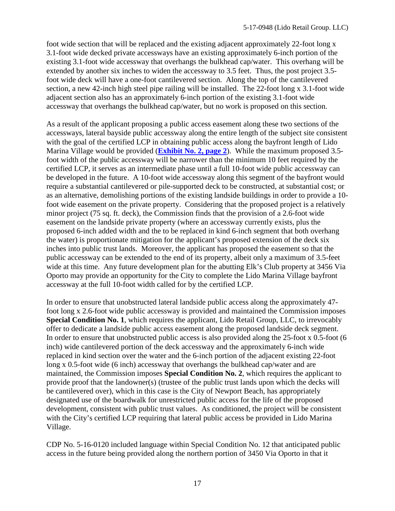foot wide section that will be replaced and the existing adjacent approximately 22-foot long x 3.1-foot wide decked private accessways have an existing approximately 6-inch portion of the existing 3.1-foot wide accessway that overhangs the bulkhead cap/water. This overhang will be extended by another six inches to widen the accessway to 3.5 feet. Thus, the post project 3.5 foot wide deck will have a one-foot cantilevered section. Along the top of the cantilevered section, a new 42-inch high steel pipe railing will be installed. The 22-foot long x 3.1-foot wide adjacent section also has an approximately 6-inch portion of the existing 3.1-foot wide accessway that overhangs the bulkhead cap/water, but no work is proposed on this section.

As a result of the applicant proposing a public access easement along these two sections of the accessways, lateral bayside public accessway along the entire length of the subject site consistent with the goal of the certified LCP in obtaining public access along the bayfront length of Lido Marina Village would be provided (**[Exhibit No. 2, page 2](https://documents.coastal.ca.gov/reports/2018/8/F23d/F23d-8-2018-exhibits.pdf)**). While the maximum proposed 3.5 foot width of the public accessway will be narrower than the minimum 10 feet required by the certified LCP, it serves as an intermediate phase until a full 10-foot wide public accessway can be developed in the future. A 10-foot wide accessway along this segment of the bayfront would require a substantial cantilevered or pile-supported deck to be constructed, at substantial cost; or as an alternative, demolishing portions of the existing landside buildings in order to provide a 10 foot wide easement on the private property. Considering that the proposed project is a relatively minor project (75 sq. ft. deck), the Commission finds that the provision of a 2.6-foot wide easement on the landside private property (where an accessway currently exists, plus the proposed 6-inch added width and the to be replaced in kind 6-inch segment that both overhang the water) is proportionate mitigation for the applicant's proposed extension of the deck six inches into public trust lands. Moreover, the applicant has proposed the easement so that the public accessway can be extended to the end of its property, albeit only a maximum of 3.5-feet wide at this time. Any future development plan for the abutting Elk's Club property at 3456 Via Oporto may provide an opportunity for the City to complete the Lido Marina Village bayfront accessway at the full 10-foot width called for by the certified LCP.

In order to ensure that unobstructed lateral landside public access along the approximately 47 foot long x 2.6-foot wide public accessway is provided and maintained the Commission imposes **Special Condition No. 1**, which requires the applicant, Lido Retail Group, LLC, to irrevocably offer to dedicate a landside public access easement along the proposed landside deck segment. In order to ensure that unobstructed public access is also provided along the 25-foot x 0.5-foot (6 inch) wide cantilevered portion of the deck accessway and the approximately 6-inch wide replaced in kind section over the water and the 6-inch portion of the adjacent existing 22-foot long x 0.5-foot wide (6 inch) accessway that overhangs the bulkhead cap/water and are maintained, the Commission imposes **Special Condition No. 2**, which requires the applicant to provide proof that the landowner(s) (trustee of the public trust lands upon which the decks will be cantilevered over), which in this case is the City of Newport Beach, has appropriately designated use of the boardwalk for unrestricted public access for the life of the proposed development, consistent with public trust values. As conditioned, the project will be consistent with the City's certified LCP requiring that lateral public access be provided in Lido Marina Village.

CDP No. 5-16-0120 included language within Special Condition No. 12 that anticipated public access in the future being provided along the northern portion of 3450 Via Oporto in that it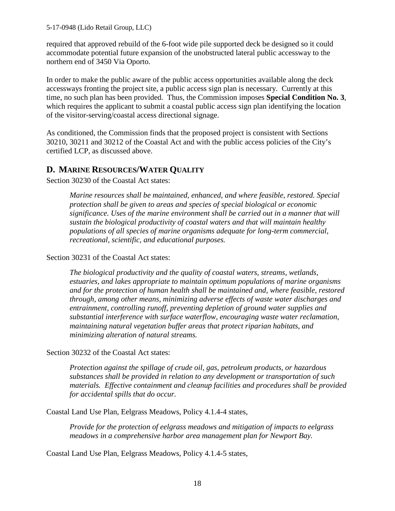required that approved rebuild of the 6-foot wide pile supported deck be designed so it could accommodate potential future expansion of the unobstructed lateral public accessway to the northern end of 3450 Via Oporto.

In order to make the public aware of the public access opportunities available along the deck accessways fronting the project site, a public access sign plan is necessary. Currently at this time, no such plan has been provided. Thus, the Commission imposes **Special Condition No. 3**, which requires the applicant to submit a coastal public access sign plan identifying the location of the visitor-serving/coastal access directional signage.

As conditioned, the Commission finds that the proposed project is consistent with Sections 30210, 30211 and 30212 of the Coastal Act and with the public access policies of the City's certified LCP, as discussed above.

## <span id="page-17-0"></span>**D. MARINE RESOURCES/WATER QUALITY**

Section 30230 of the Coastal Act states:

*Marine resources shall be maintained, enhanced, and where feasible, restored. Special protection shall be given to areas and species of special biological or economic significance. Uses of the marine environment shall be carried out in a manner that will sustain the biological productivity of coastal waters and that will maintain healthy populations of all species of marine organisms adequate for long-term commercial, recreational, scientific, and educational purposes.* 

Section 30231 of the Coastal Act states:

*The biological productivity and the quality of coastal waters, streams, wetlands, estuaries, and lakes appropriate to maintain optimum populations of marine organisms and for the protection of human health shall be maintained and, where feasible, restored through, among other means, minimizing adverse effects of waste water discharges and entrainment, controlling runoff, preventing depletion of ground water supplies and substantial interference with surface waterflow, encouraging waste water reclamation, maintaining natural vegetation buffer areas that protect riparian habitats, and minimizing alteration of natural streams.* 

Section 30232 of the Coastal Act states:

*Protection against the spillage of crude oil, gas, petroleum products, or hazardous substances shall be provided in relation to any development or transportation of such materials. Effective containment and cleanup facilities and procedures shall be provided for accidental spills that do occur.* 

Coastal Land Use Plan, Eelgrass Meadows, Policy 4.1.4-4 states,

*Provide for the protection of eelgrass meadows and mitigation of impacts to eelgrass meadows in a comprehensive harbor area management plan for Newport Bay.* 

Coastal Land Use Plan, Eelgrass Meadows, Policy 4.1.4-5 states,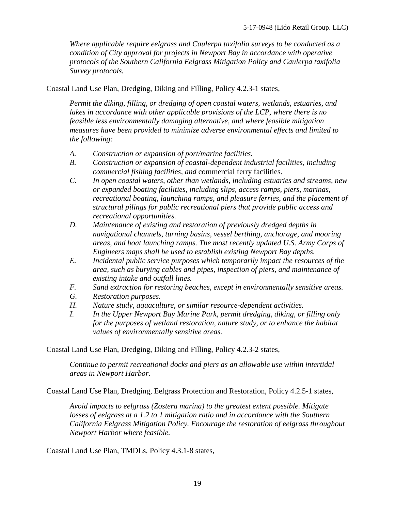*Where applicable require eelgrass and Caulerpa taxifolia surveys to be conducted as a condition of City approval for projects in Newport Bay in accordance with operative protocols of the Southern California Eelgrass Mitigation Policy and Caulerpa taxifolia Survey protocols.* 

Coastal Land Use Plan, Dredging, Diking and Filling, Policy 4.2.3-1 states,

*Permit the diking, filling, or dredging of open coastal waters, wetlands, estuaries, and*  lakes in accordance with other applicable provisions of the LCP, where there is no *feasible less environmentally damaging alternative, and where feasible mitigation measures have been provided to minimize adverse environmental effects and limited to the following:* 

- *A. Construction or expansion of port/marine facilities.*
- *B. Construction or expansion of coastal-dependent industrial facilities, including commercial fishing facilities, and* commercial ferry facilities.
- *C. In open coastal waters, other than wetlands, including estuaries and streams, new or expanded boating facilities, including slips, access ramps, piers, marinas, recreational boating, launching ramps, and pleasure ferries, and the placement of structural pilings for public recreational piers that provide public access and recreational opportunities.*
- *D. Maintenance of existing and restoration of previously dredged depths in navigational channels, turning basins, vessel berthing, anchorage, and mooring areas, and boat launching ramps. The most recently updated U.S. Army Corps of Engineers maps shall be used to establish existing Newport Bay depths.*
- *E. Incidental public service purposes which temporarily impact the resources of the area, such as burying cables and pipes, inspection of piers, and maintenance of existing intake and outfall lines.*
- *F. Sand extraction for restoring beaches, except in environmentally sensitive areas.*
- *G. Restoration purposes.*
- *H. Nature study, aquaculture, or similar resource-dependent activities.*
- *I. In the Upper Newport Bay Marine Park, permit dredging, diking, or filling only for the purposes of wetland restoration, nature study, or to enhance the habitat values of environmentally sensitive areas.*

Coastal Land Use Plan, Dredging, Diking and Filling, Policy 4.2.3-2 states,

*Continue to permit recreational docks and piers as an allowable use within intertidal areas in Newport Harbor.* 

Coastal Land Use Plan, Dredging, Eelgrass Protection and Restoration, Policy 4.2.5-1 states,

*Avoid impacts to eelgrass (Zostera marina) to the greatest extent possible. Mitigate*  losses of eelgrass at a 1.2 to 1 mitigation ratio and in accordance with the Southern *California Eelgrass Mitigation Policy. Encourage the restoration of eelgrass throughout Newport Harbor where feasible.*

Coastal Land Use Plan, TMDLs, Policy 4.3.1-8 states,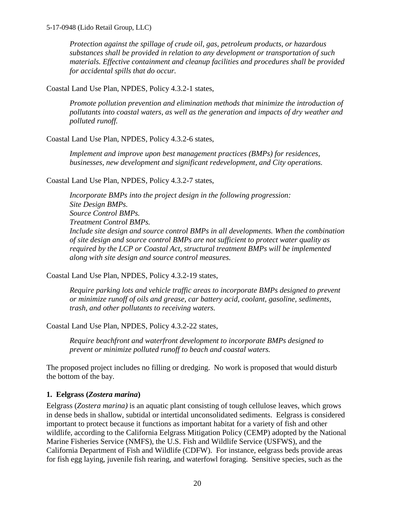*Protection against the spillage of crude oil, gas, petroleum products, or hazardous substances shall be provided in relation to any development or transportation of such materials. Effective containment and cleanup facilities and procedures shall be provided for accidental spills that do occur.* 

Coastal Land Use Plan, NPDES, Policy 4.3.2-1 states,

*Promote pollution prevention and elimination methods that minimize the introduction of pollutants into coastal waters, as well as the generation and impacts of dry weather and polluted runoff.* 

Coastal Land Use Plan, NPDES, Policy 4.3.2-6 states,

*Implement and improve upon best management practices (BMPs) for residences, businesses, new development and significant redevelopment, and City operations.* 

Coastal Land Use Plan, NPDES, Policy 4.3.2-7 states,

*Incorporate BMPs into the project design in the following progression: Site Design BMPs. Source Control BMPs. Treatment Control BMPs. Include site design and source control BMPs in all developments. When the combination of site design and source control BMPs are not sufficient to protect water quality as required by the LCP or Coastal Act, structural treatment BMPs will be implemented along with site design and source control measures.* 

Coastal Land Use Plan, NPDES, Policy 4.3.2-19 states,

*Require parking lots and vehicle traffic areas to incorporate BMPs designed to prevent or minimize runoff of oils and grease, car battery acid, coolant, gasoline, sediments, trash, and other pollutants to receiving waters.* 

Coastal Land Use Plan, NPDES, Policy 4.3.2-22 states,

*Require beachfront and waterfront development to incorporate BMPs designed to prevent or minimize polluted runoff to beach and coastal waters.* 

The proposed project includes no filling or dredging. No work is proposed that would disturb the bottom of the bay.

## **1. Eelgrass (***Zostera marina***)**

Eelgrass (*Zostera marina)* is an aquatic plant consisting of tough cellulose leaves, which grows in dense beds in shallow, subtidal or intertidal unconsolidated sediments. Eelgrass is considered important to protect because it functions as important habitat for a variety of fish and other wildlife, according to the California Eelgrass Mitigation Policy (CEMP) adopted by the National Marine Fisheries Service (NMFS), the U.S. Fish and Wildlife Service (USFWS), and the California Department of Fish and Wildlife (CDFW). For instance, eelgrass beds provide areas for fish egg laying, juvenile fish rearing, and waterfowl foraging. Sensitive species, such as the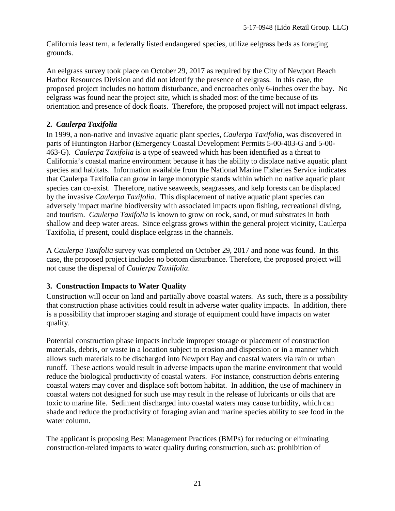California least tern, a federally listed endangered species, utilize eelgrass beds as foraging grounds.

An eelgrass survey took place on October 29, 2017 as required by the City of Newport Beach Harbor Resources Division and did not identify the presence of eelgrass. In this case, the proposed project includes no bottom disturbance, and encroaches only 6-inches over the bay. No eelgrass was found near the project site, which is shaded most of the time because of its orientation and presence of dock floats. Therefore, the proposed project will not impact eelgrass.

## **2.** *Caulerpa Taxifolia*

In 1999, a non-native and invasive aquatic plant species, *Caulerpa Taxifolia*, was discovered in parts of Huntington Harbor (Emergency Coastal Development Permits 5-00-403-G and 5-00- 463-G). *Caulerpa Taxifolia* is a type of seaweed which has been identified as a threat to California's coastal marine environment because it has the ability to displace native aquatic plant species and habitats. Information available from the National Marine Fisheries Service indicates that Caulerpa Taxifolia can grow in large monotypic stands within which no native aquatic plant species can co-exist. Therefore, native seaweeds, seagrasses, and kelp forests can be displaced by the invasive *Caulerpa Taxifolia*. This displacement of native aquatic plant species can adversely impact marine biodiversity with associated impacts upon fishing, recreational diving, and tourism. *Caulerpa Taxifolia* is known to grow on rock, sand, or mud substrates in both shallow and deep water areas. Since eelgrass grows within the general project vicinity, Caulerpa Taxifolia, if present, could displace eelgrass in the channels.

A *Caulerpa Taxifolia* survey was completed on October 29, 2017 and none was found. In this case, the proposed project includes no bottom disturbance. Therefore, the proposed project will not cause the dispersal of *Caulerpa Taxilfolia*.

## **3. Construction Impacts to Water Quality**

Construction will occur on land and partially above coastal waters. As such, there is a possibility that construction phase activities could result in adverse water quality impacts. In addition, there is a possibility that improper staging and storage of equipment could have impacts on water quality.

Potential construction phase impacts include improper storage or placement of construction materials, debris, or waste in a location subject to erosion and dispersion or in a manner which allows such materials to be discharged into Newport Bay and coastal waters via rain or urban runoff. These actions would result in adverse impacts upon the marine environment that would reduce the biological productivity of coastal waters. For instance, construction debris entering coastal waters may cover and displace soft bottom habitat. In addition, the use of machinery in coastal waters not designed for such use may result in the release of lubricants or oils that are toxic to marine life. Sediment discharged into coastal waters may cause turbidity, which can shade and reduce the productivity of foraging avian and marine species ability to see food in the water column.

The applicant is proposing Best Management Practices (BMPs) for reducing or eliminating construction-related impacts to water quality during construction, such as: prohibition of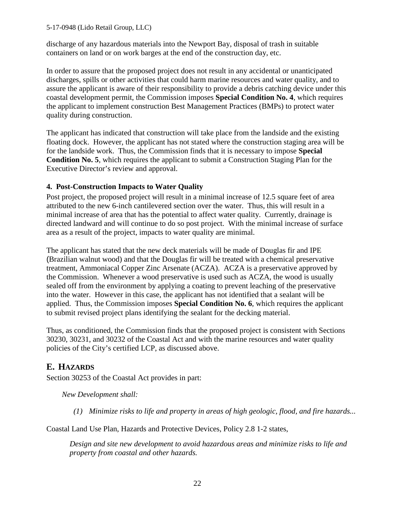discharge of any hazardous materials into the Newport Bay, disposal of trash in suitable containers on land or on work barges at the end of the construction day, etc.

In order to assure that the proposed project does not result in any accidental or unanticipated discharges, spills or other activities that could harm marine resources and water quality, and to assure the applicant is aware of their responsibility to provide a debris catching device under this coastal development permit, the Commission imposes **Special Condition No. 4**, which requires the applicant to implement construction Best Management Practices (BMPs) to protect water quality during construction.

The applicant has indicated that construction will take place from the landside and the existing floating dock. However, the applicant has not stated where the construction staging area will be for the landside work. Thus, the Commission finds that it is necessary to impose **Special Condition No. 5**, which requires the applicant to submit a Construction Staging Plan for the Executive Director's review and approval.

#### **4. Post-Construction Impacts to Water Quality**

Post project, the proposed project will result in a minimal increase of 12.5 square feet of area attributed to the new 6-inch cantilevered section over the water. Thus, this will result in a minimal increase of area that has the potential to affect water quality. Currently, drainage is directed landward and will continue to do so post project. With the minimal increase of surface area as a result of the project, impacts to water quality are minimal.

The applicant has stated that the new deck materials will be made of Douglas fir and IPE (Brazilian walnut wood) and that the Douglas fir will be treated with a chemical preservative treatment, Ammoniacal Copper Zinc Arsenate (ACZA). ACZA is a preservative approved by the Commission. Whenever a wood preservative is used such as ACZA, the wood is usually sealed off from the environment by applying a coating to prevent leaching of the preservative into the water. However in this case, the applicant has not identified that a sealant will be applied. Thus, the Commission imposes **Special Condition No. 6**, which requires the applicant to submit revised project plans identifying the sealant for the decking material.

Thus, as conditioned, the Commission finds that the proposed project is consistent with Sections 30230, 30231, and 30232 of the Coastal Act and with the marine resources and water quality policies of the City's certified LCP, as discussed above.

## <span id="page-21-0"></span>**E. HAZARDS**

Section 30253 of the Coastal Act provides in part:

*New Development shall:*

 *(1) Minimize risks to life and property in areas of high geologic, flood, and fire hazards...* 

Coastal Land Use Plan, Hazards and Protective Devices, Policy 2.8 1-2 states,

*Design and site new development to avoid hazardous areas and minimize risks to life and property from coastal and other hazards.*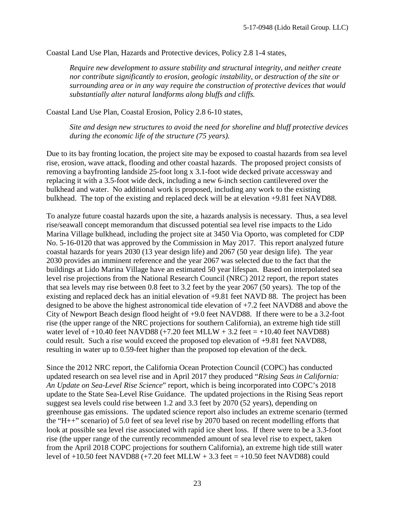Coastal Land Use Plan, Hazards and Protective devices, Policy 2.8 1-4 states,

*Require new development to assure stability and structural integrity, and neither create nor contribute significantly to erosion, geologic instability, or destruction of the site or surrounding area or in any way require the construction of protective devices that would substantially alter natural landforms along bluffs and cliffs.* 

Coastal Land Use Plan, Coastal Erosion, Policy 2.8 6-10 states,

*Site and design new structures to avoid the need for shoreline and bluff protective devices during the economic life of the structure (75 years).*

Due to its bay fronting location, the project site may be exposed to coastal hazards from sea level rise, erosion, wave attack, flooding and other coastal hazards. The proposed project consists of removing a bayfronting landside 25-foot long x 3.1-foot wide decked private accessway and replacing it with a 3.5-foot wide deck, including a new 6-inch section cantilevered over the bulkhead and water. No additional work is proposed, including any work to the existing bulkhead. The top of the existing and replaced deck will be at elevation +9.81 feet NAVD88.

To analyze future coastal hazards upon the site, a hazards analysis is necessary. Thus, a sea level rise/seawall concept memorandum that discussed potential sea level rise impacts to the Lido Marina Village bulkhead, including the project site at 3450 Via Oporto, was completed for CDP No. 5-16-0120 that was approved by the Commission in May 2017. This report analyzed future coastal hazards for years 2030 (13 year design life) and 2067 (50 year design life). The year 2030 provides an imminent reference and the year 2067 was selected due to the fact that the buildings at Lido Marina Village have an estimated 50 year lifespan. Based on interpolated sea level rise projections from the National Research Council (NRC) 2012 report, the report states that sea levels may rise between 0.8 feet to 3.2 feet by the year 2067 (50 years). The top of the existing and replaced deck has an initial elevation of +9.81 feet NAVD 88. The project has been designed to be above the highest astronomical tide elevation of +7.2 feet NAVD88 and above the City of Newport Beach design flood height of +9.0 feet NAVD88. If there were to be a 3.2-foot rise (the upper range of the NRC projections for southern California), an extreme high tide still water level of  $+10.40$  feet NAVD88 ( $+7.20$  feet MLLW  $+3.2$  feet  $= +10.40$  feet NAVD88) could result. Such a rise would exceed the proposed top elevation of +9.81 feet NAVD88, resulting in water up to 0.59-feet higher than the proposed top elevation of the deck.

Since the 2012 NRC report, the California Ocean Protection Council (COPC) has conducted updated research on sea level rise and in April 2017 they produced "*Rising Seas in California: An Update on Sea-Level Rise Science*" report, which is being incorporated into COPC's 2018 update to the State Sea-Level Rise Guidance. The updated projections in the Rising Seas report suggest sea levels could rise between 1.2 and 3.3 feet by 2070 (52 years), depending on greenhouse gas emissions. The updated science report also includes an extreme scenario (termed the "H++" scenario) of 5.0 feet of sea level rise by 2070 based on recent modelling efforts that look at possible sea level rise associated with rapid ice sheet loss. If there were to be a 3.3-foot rise (the upper range of the currently recommended amount of sea level rise to expect, taken from the April 2018 COPC projections for southern California), an extreme high tide still water level of  $+10.50$  feet NAVD88 ( $+7.20$  feet MLLW  $+3.3$  feet  $= +10.50$  feet NAVD88) could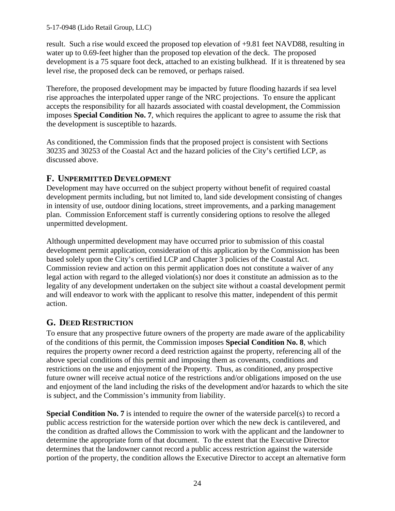result. Such a rise would exceed the proposed top elevation of +9.81 feet NAVD88, resulting in water up to 0.69-feet higher than the proposed top elevation of the deck. The proposed development is a 75 square foot deck, attached to an existing bulkhead. If it is threatened by sea level rise, the proposed deck can be removed, or perhaps raised.

Therefore, the proposed development may be impacted by future flooding hazards if sea level rise approaches the interpolated upper range of the NRC projections. To ensure the applicant accepts the responsibility for all hazards associated with coastal development, the Commission imposes **Special Condition No. 7**, which requires the applicant to agree to assume the risk that the development is susceptible to hazards.

As conditioned, the Commission finds that the proposed project is consistent with Sections 30235 and 30253 of the Coastal Act and the hazard policies of the City's certified LCP, as discussed above.

## <span id="page-23-0"></span>**F. UNPERMITTED DEVELOPMENT**

Development may have occurred on the subject property without benefit of required coastal development permits including, but not limited to, land side development consisting of changes in intensity of use, outdoor dining locations, street improvements, and a parking management plan. Commission Enforcement staff is currently considering options to resolve the alleged unpermitted development.

Although unpermitted development may have occurred prior to submission of this coastal development permit application, consideration of this application by the Commission has been based solely upon the City's certified LCP and Chapter 3 policies of the Coastal Act. Commission review and action on this permit application does not constitute a waiver of any legal action with regard to the alleged violation(s) nor does it constitute an admission as to the legality of any development undertaken on the subject site without a coastal development permit and will endeavor to work with the applicant to resolve this matter, independent of this permit action.

## <span id="page-23-1"></span>**G. DEED RESTRICTION**

To ensure that any prospective future owners of the property are made aware of the applicability of the conditions of this permit, the Commission imposes **Special Condition No. 8**, which requires the property owner record a deed restriction against the property, referencing all of the above special conditions of this permit and imposing them as covenants, conditions and restrictions on the use and enjoyment of the Property. Thus, as conditioned, any prospective future owner will receive actual notice of the restrictions and/or obligations imposed on the use and enjoyment of the land including the risks of the development and/or hazards to which the site is subject, and the Commission's immunity from liability.

**Special Condition No. 7** is intended to require the owner of the waterside parcel(s) to record a public access restriction for the waterside portion over which the new deck is cantilevered, and the condition as drafted allows the Commission to work with the applicant and the landowner to determine the appropriate form of that document. To the extent that the Executive Director determines that the landowner cannot record a public access restriction against the waterside portion of the property, the condition allows the Executive Director to accept an alternative form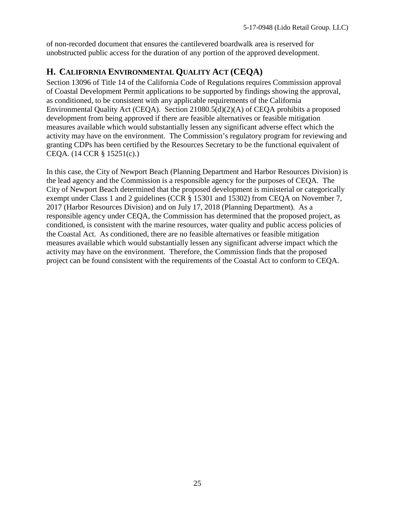of non-recorded document that ensures the cantilevered boardwalk area is reserved for unobstructed public access for the duration of any portion of the approved development.

# <span id="page-24-0"></span>**H. CALIFORNIA ENVIRONMENTAL QUALITY ACT (CEQA)**

Section 13096 of Title 14 of the California Code of Regulations requires Commission approval of Coastal Development Permit applications to be supported by findings showing the approval, as conditioned, to be consistent with any applicable requirements of the California Environmental Quality Act (CEQA). Section 21080.5(d)(2)(A) of CEQA prohibits a proposed development from being approved if there are feasible alternatives or feasible mitigation measures available which would substantially lessen any significant adverse effect which the activity may have on the environment. The Commission's regulatory program for reviewing and granting CDPs has been certified by the Resources Secretary to be the functional equivalent of CEQA. (14 CCR § 15251(c).)

In this case, the City of Newport Beach (Planning Department and Harbor Resources Division) is the lead agency and the Commission is a responsible agency for the purposes of CEQA. The City of Newport Beach determined that the proposed development is ministerial or categorically exempt under Class 1 and 2 guidelines (CCR § 15301 and 15302) from CEQA on November 7, 2017 (Harbor Resources Division) and on July 17, 2018 (Planning Department). As a responsible agency under CEQA, the Commission has determined that the proposed project, as conditioned, is consistent with the marine resources, water quality and public access policies of the Coastal Act. As conditioned, there are no feasible alternatives or feasible mitigation measures available which would substantially lessen any significant adverse impact which the activity may have on the environment. Therefore, the Commission finds that the proposed project can be found consistent with the requirements of the Coastal Act to conform to CEQA.